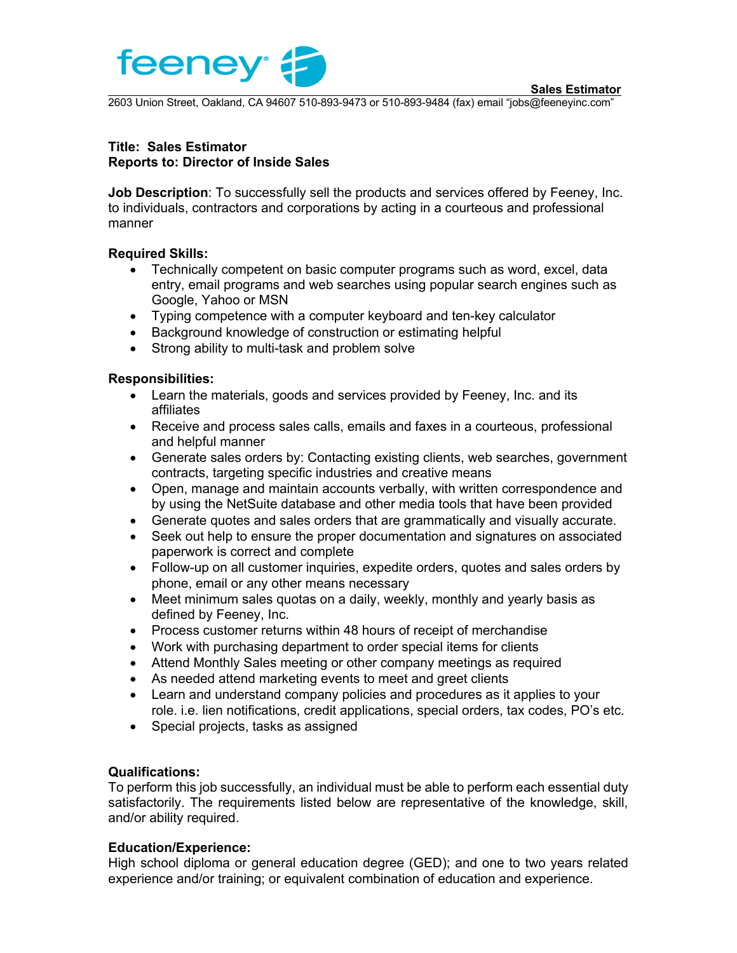



2603 Union Street, Oakland, CA 94607 510-893-9473 or 510-893-9484 (fax) email "jobs@feeneyinc.com"

## **Title: Sales Estimator Reports to: Director of Inside Sales**

**Job Description**: To successfully sell the products and services offered by Feeney, Inc. to individuals, contractors and corporations by acting in a courteous and professional manner

# **Required Skills:**

- Technically competent on basic computer programs such as word, excel, data entry, email programs and web searches using popular search engines such as Google, Yahoo or MSN
- Typing competence with a computer keyboard and ten-key calculator
- Background knowledge of construction or estimating helpful
- Strong ability to multi-task and problem solve

### **Responsibilities:**

- Learn the materials, goods and services provided by Feeney, Inc. and its affiliates
- Receive and process sales calls, emails and faxes in a courteous, professional and helpful manner
- Generate sales orders by: Contacting existing clients, web searches, government contracts, targeting specific industries and creative means
- Open, manage and maintain accounts verbally, with written correspondence and by using the NetSuite database and other media tools that have been provided
- Generate quotes and sales orders that are grammatically and visually accurate.
- Seek out help to ensure the proper documentation and signatures on associated paperwork is correct and complete
- Follow-up on all customer inquiries, expedite orders, quotes and sales orders by phone, email or any other means necessary
- Meet minimum sales quotas on a daily, weekly, monthly and yearly basis as defined by Feeney, Inc.
- Process customer returns within 48 hours of receipt of merchandise
- Work with purchasing department to order special items for clients
- Attend Monthly Sales meeting or other company meetings as required
- As needed attend marketing events to meet and greet clients
- Learn and understand company policies and procedures as it applies to your role. i.e. lien notifications, credit applications, special orders, tax codes, PO's etc.
- Special projects, tasks as assigned

# **Qualifications:**

To perform this job successfully, an individual must be able to perform each essential duty satisfactorily. The requirements listed below are representative of the knowledge, skill, and/or ability required.

# **Education/Experience:**

High school diploma or general education degree (GED); and one to two years related experience and/or training; or equivalent combination of education and experience.